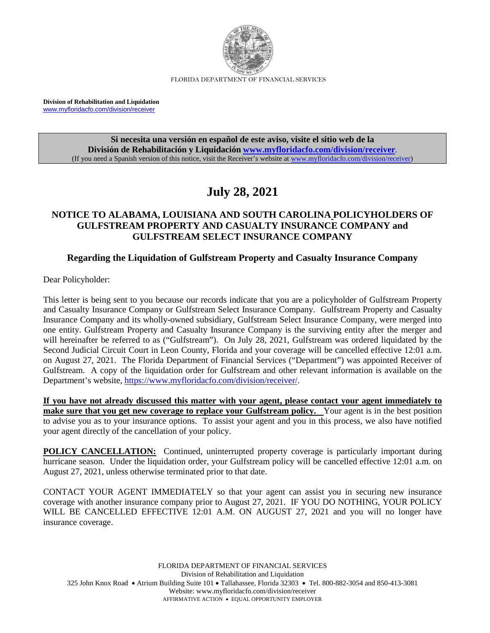

FLORIDA DEPARTMENT OF FINANCIAL SERVICES

**Division of Rehabilitation and Liquidation** [www.myfloridacfo.com/division/receiver](http://www.myfloridacfo.com/division/receiver)

> **Si necesita una versión en español de este aviso, visite el sitio web de la División de Rehabilitación y Liquidación [www.myfloridacfo.com/division/receiver](http://www.myfloridacfo.com/division/receiver)**. (If you need a Spanish version of this notice, visit the Receiver's website a[t www.myfloridacfo.com/division/receiver\)](http://www.myfloridacfo.com/division/receiver)

# **July 28, 2021**

# **NOTICE TO ALABAMA, LOUISIANA AND SOUTH CAROLINA POLICYHOLDERS OF GULFSTREAM PROPERTY AND CASUALTY INSURANCE COMPANY and GULFSTREAM SELECT INSURANCE COMPANY**

# **Regarding the Liquidation of Gulfstream Property and Casualty Insurance Company**

Dear Policyholder:

This letter is being sent to you because our records indicate that you are a policyholder of Gulfstream Property and Casualty Insurance Company or Gulfstream Select Insurance Company. Gulfstream Property and Casualty Insurance Company and its wholly-owned subsidiary, Gulfstream Select Insurance Company, were merged into one entity. Gulfstream Property and Casualty Insurance Company is the surviving entity after the merger and will hereinafter be referred to as ("Gulfstream"). On July 28, 2021, Gulfstream was ordered liquidated by the Second Judicial Circuit Court in Leon County, Florida and your coverage will be cancelled effective 12:01 a.m. on August 27, 2021. The Florida Department of Financial Services ("Department") was appointed Receiver of Gulfstream. A copy of the liquidation order for Gulfstream and other relevant information is available on the Department's website[, https://www.myfloridacfo.com/division/receiver/.](https://www.myfloridacfo.com/division/receiver/)

**If you have not already discussed this matter with your agent, please contact your agent immediately to make sure that you get new coverage to replace your Gulfstream policy.** Your agent is in the best position to advise you as to your insurance options. To assist your agent and you in this process, we also have notified your agent directly of the cancellation of your policy.

**POLICY CANCELLATION:** Continued, uninterrupted property coverage is particularly important during hurricane season. Under the liquidation order, your Gulfstream policy will be cancelled effective 12:01 a.m. on August 27, 2021, unless otherwise terminated prior to that date.

CONTACT YOUR AGENT IMMEDIATELY so that your agent can assist you in securing new insurance coverage with another insurance company prior to August 27, 2021. IF YOU DO NOTHING, YOUR POLICY WILL BE CANCELLED EFFECTIVE 12:01 A.M. ON AUGUST 27, 2021 and you will no longer have insurance coverage.